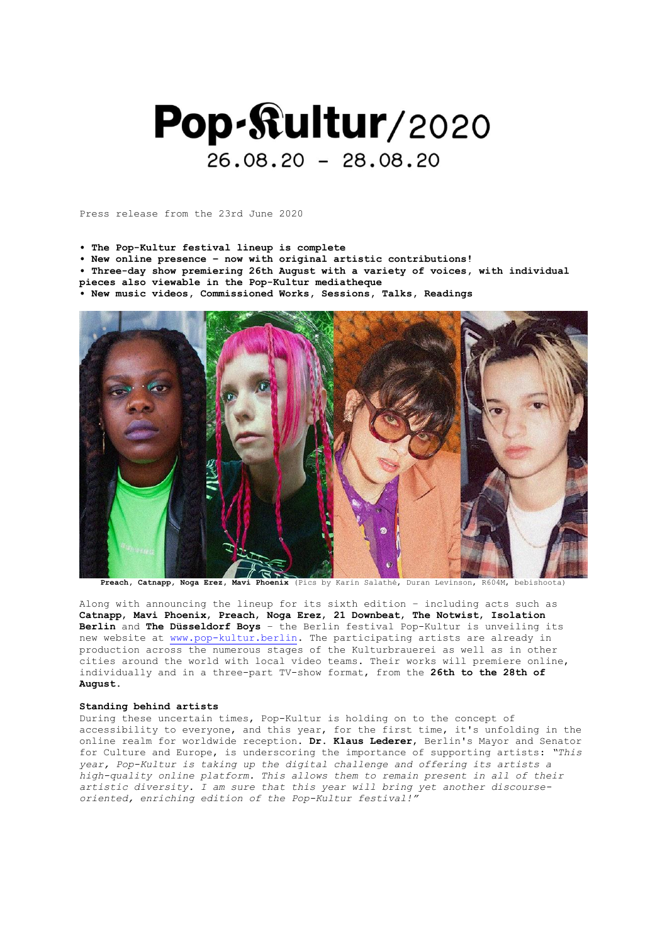# Pop-Stultur/2020  $26.08.20 - 28.08.20$

Press release from the 23rd June 2020

- **The Pop-Kultur festival lineup is complete**
- **New online presence – now with original artistic contributions!**

**• Three-day show premiering 26th August with a variety of voices, with individual** 

**pieces also viewable in the Pop-Kultur mediatheque**

**• New music videos, Commissioned Works, Sessions, Talks, Readings**



**Preach, Catnapp, Noga Erez, Mavi Phoenix** (Pics by Karin Salathé, Duran Levinson, R604M, bebishoota)

Along with announcing the lineup for its sixth edition – including acts such as **Catnapp**, **Mavi Phoenix**, **Preach**, **Noga Erez**, **21 Downbeat**, **The Notwist**, **Isolation Berlin** and **The Düsseldorf Boys** – the Berlin festival Pop-Kultur is unveiling its new website at [www.pop-kultur.berlin.](http://www.pop-kultur.berlin/) The participating artists are already in production across the numerous stages of the Kulturbrauerei as well as in other cities around the world with local video teams. Their works will premiere online, individually and in a three-part TV-show format, from the 26th to the 28th of **August**.

## **Standing behind artists**

During these uncertain times, Pop-Kultur is holding on to the concept of accessibility to everyone, and this year, for the first time, it's unfolding in the online realm for worldwide reception. **Dr. Klaus Lederer**, Berlin's Mayor and Senator for Culture and Europe, is underscoring the importance of supporting artists: *"This year, Pop-Kultur is taking up the digital challenge and offering its artists a high-quality online platform. This allows them to remain present in all of their artistic diversity. I am sure that this year will bring yet another discourseoriented, enriching edition of the Pop-Kultur festival!"*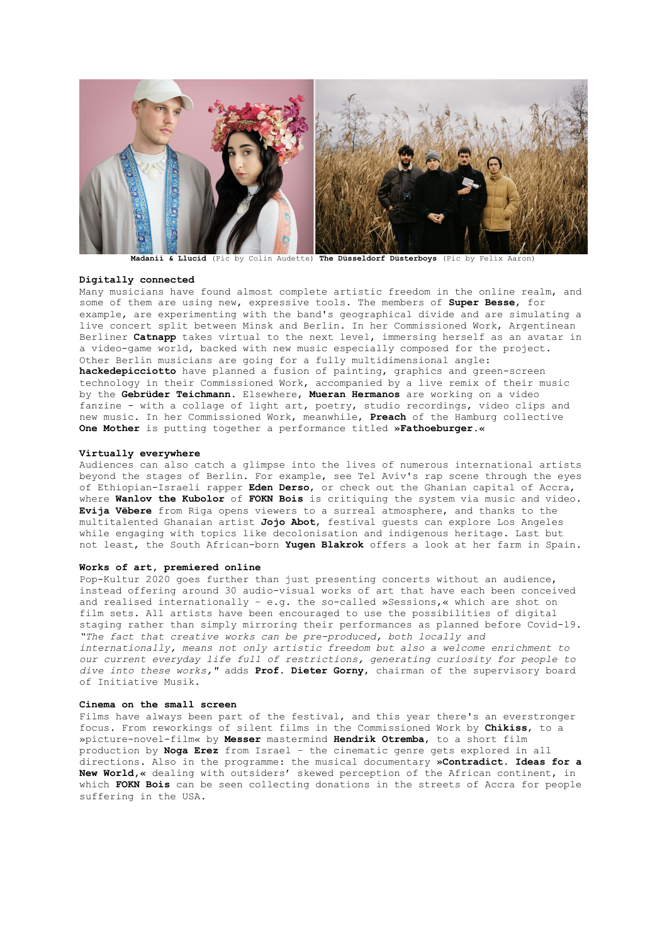

**Madanii & Llucid** (Pic by Colin Audette) **The Düsseldorf Düsterboys** (Pic by Felix Aaron)

## **Digitally connected**

Many musicians have found almost complete artistic freedom in the online realm, and some of them are using new, expressive tools. The members of **Super Besse**, for example, are experimenting with the band's geographical divide and are simulating a live concert split between Minsk and Berlin. In her Commissioned Work, Argentinean Berliner **Catnapp** takes virtual to the next level, immersing herself as an avatar in a video-game world, backed with new music especially composed for the project. Other Berlin musicians are going for a fully multidimensional angle: **hackedepicciotto** have planned a fusion of painting, graphics and green-screen technology in their Commissioned Work, accompanied by a live remix of their music by the **Gebrüder Teichmann**. Elsewhere, **Mueran Hermanos** are working on a video fanzine - with a collage of light art, poetry, studio recordings, video clips and new music. In her Commissioned Work, meanwhile, **Preach** of the Hamburg collective **One Mother** is putting together a performance titled **»Fathoeburger.«**

## **Virtually everywhere**

Audiences can also catch a glimpse into the lives of numerous international artists beyond the stages of Berlin. For example, see Tel Aviv's rap scene through the eyes of Ethiopian-Israeli rapper **Eden Derso**, or check out the Ghanian capital of Accra, where **Wanlov the Kubolor** of **FOKN Bois** is critiquing the system via music and video. **Evija Vēbere** from Riga opens viewers to a surreal atmosphere, and thanks to the multitalented Ghanaian artist **Jojo Abot**, festival guests can explore Los Angeles while engaging with topics like decolonisation and indigenous heritage. Last but not least, the South African-born **Yugen Blakrok** offers a look at her farm in Spain.

## **Works of art, premiered online**

Pop-Kultur 2020 goes further than just presenting concerts without an audience, instead offering around 30 audio-visual works of art that have each been conceived and realised internationally - e.g. the so-called »Sessions,  $\kappa$  which are shot on film sets. All artists have been encouraged to use the possibilities of digital staging rather than simply mirroring their performances as planned before Covid-19. *"The fact that creative works can be pre-produced, both locally and internationally, means not only artistic freedom but also a welcome enrichment to our current everyday life full of restrictions, generating curiosity for people to dive into these works,"* adds **Prof. Dieter Gorny**, chairman of the supervisory board of Initiative Musik.

## **Cinema on the small screen**

Films have always been part of the festival, and this year there's an everstronger focus. From reworkings of silent films in the Commissioned Work by **Chikiss**, to a »picture-novel-film« by **Messer** mastermind **Hendrik Otremba**, to a short film production by **Noga Erez** from Israel – the cinematic genre gets explored in all directions. Also in the programme: the musical documentary **»Contradict. Ideas for a New World,«** dealing with outsiders' skewed perception of the African continent, in which **FOKN Bois** can be seen collecting donations in the streets of Accra for people suffering in the USA.